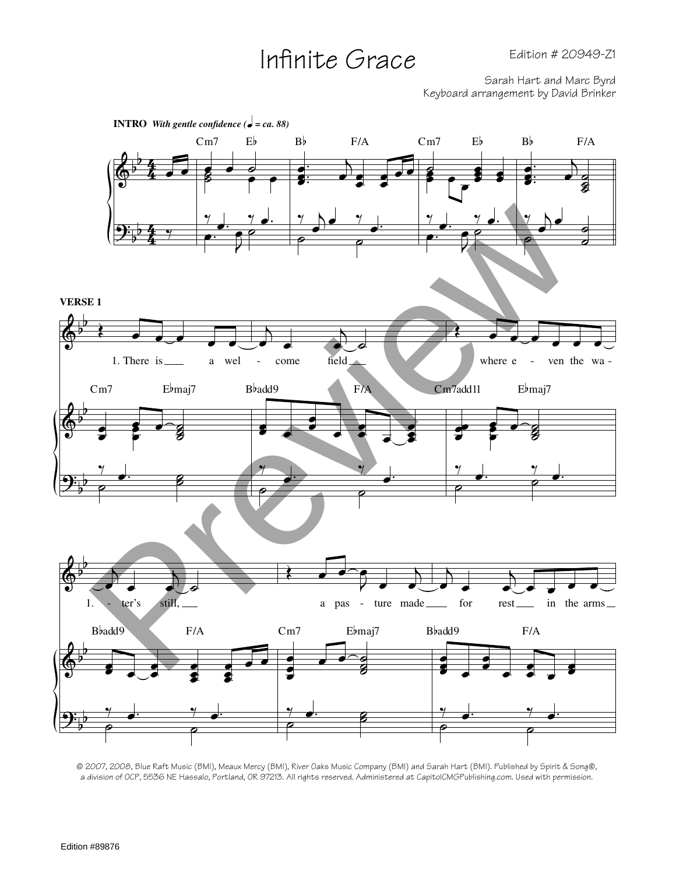## Infinite Grace

Sarah Hart and Marc Byrd Keyboard arrangement by David Brinker



© 2007, 2008, Blue Raft Music (BMI), Meaux Mercy (BMI), River Oaks Music Company (BMI) and Sarah Hart (BMI). Published by Spirit & Song®, a division of OCP, 5536 NE Hassalo, Portland, OR 97213. All rights reserved. Administered at CapitolCMGPublishing.com. Used with permission.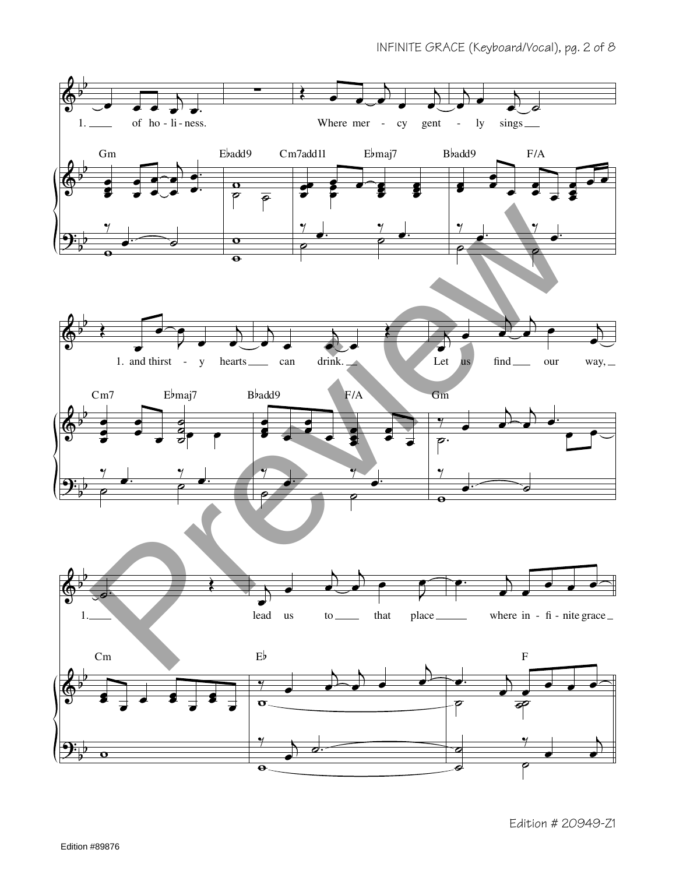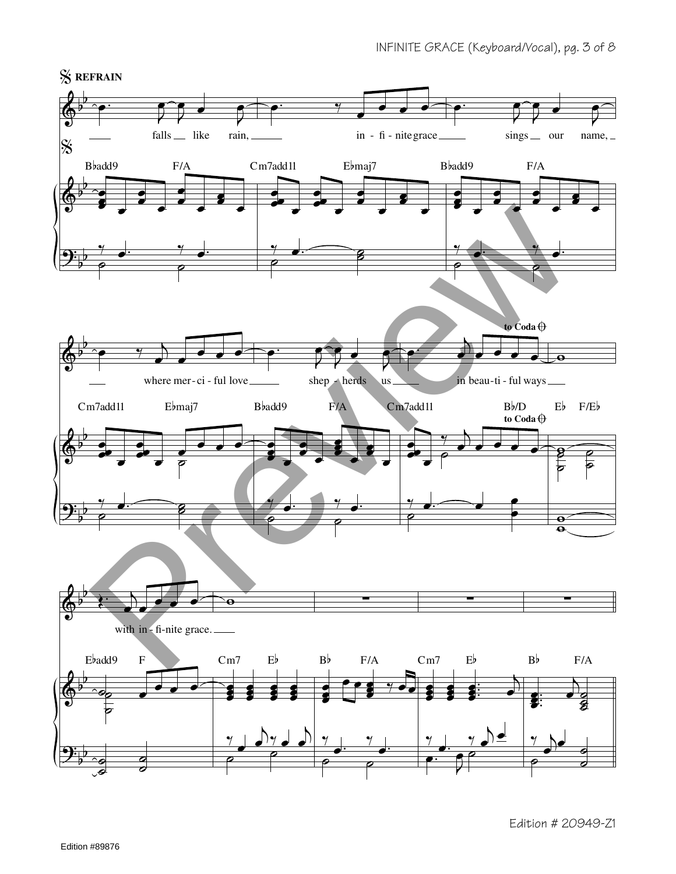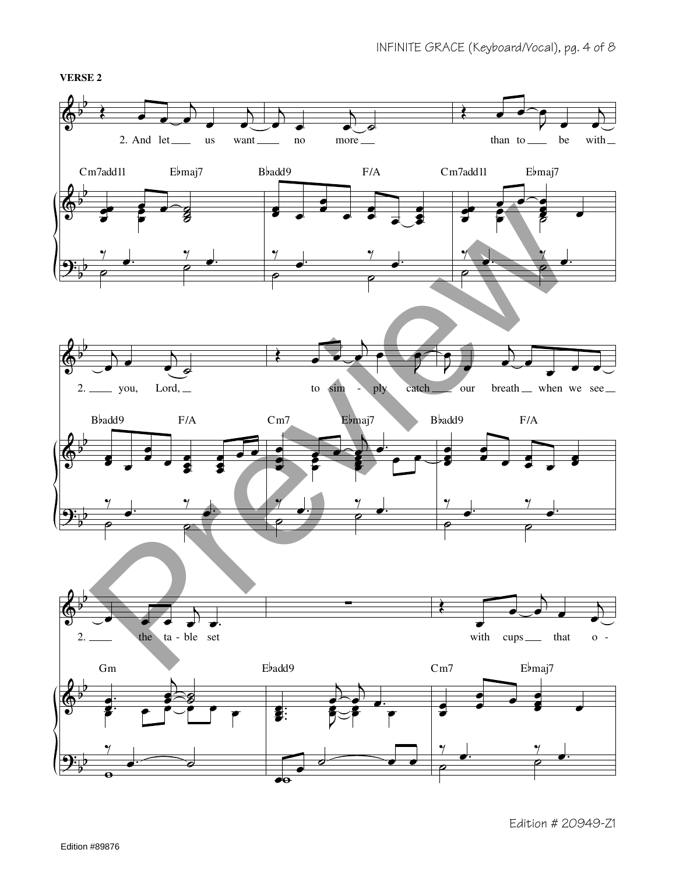**VERSE 2**

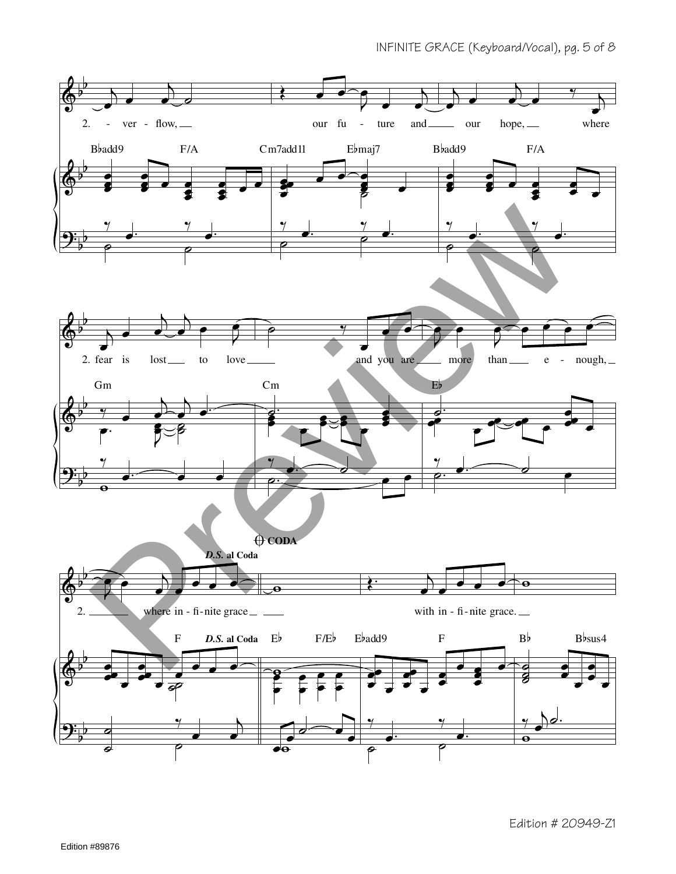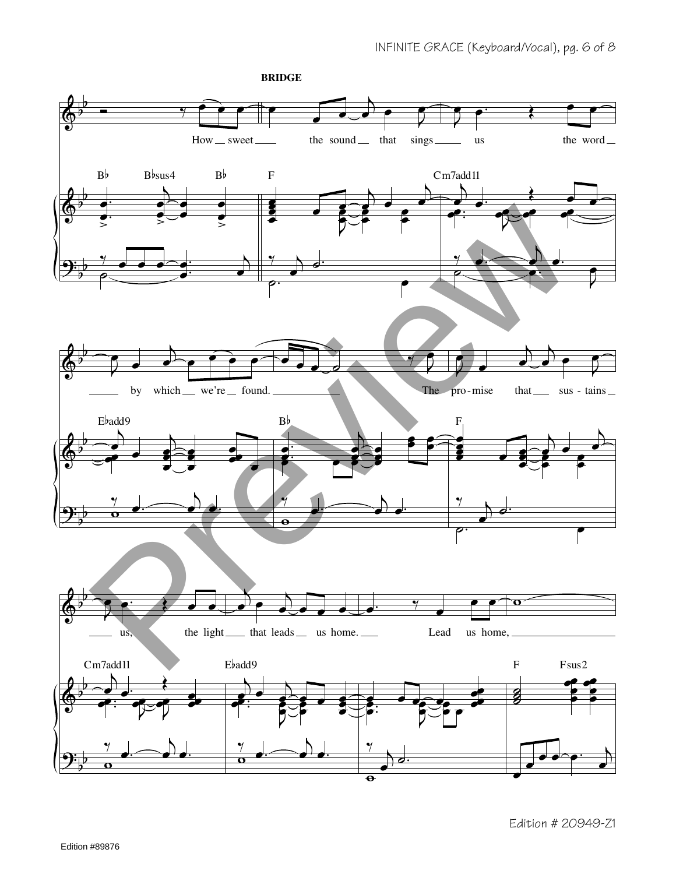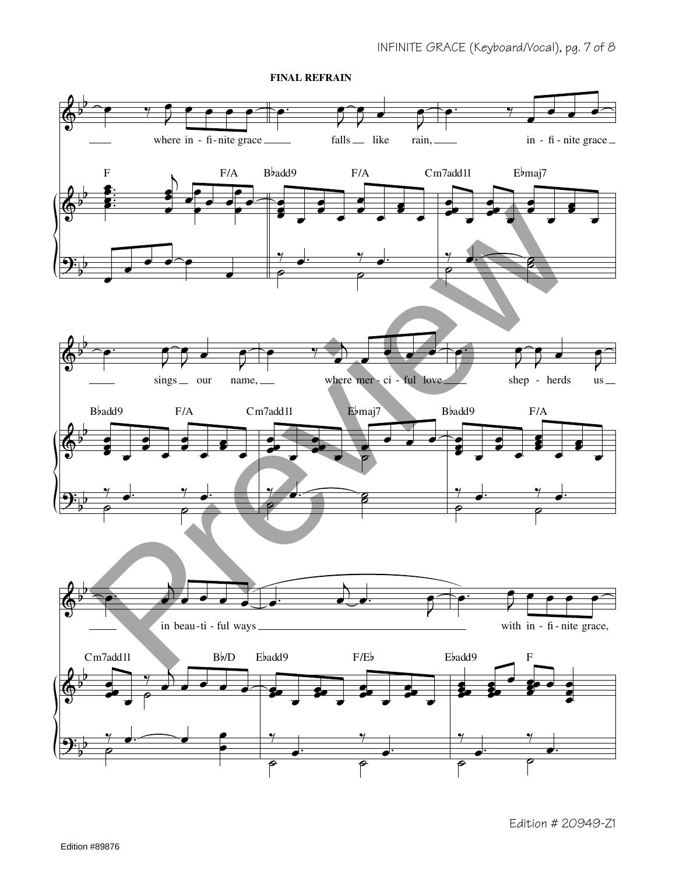